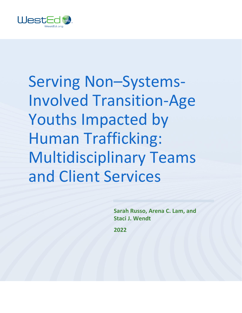

Serving Non–Systems-Involved Transition-Age Youths Impacted by Human Trafficking: Multidisciplinary Teams and Client Services

> **Sarah Russo, Arena C. Lam, and Staci J. Wendt**

**2022**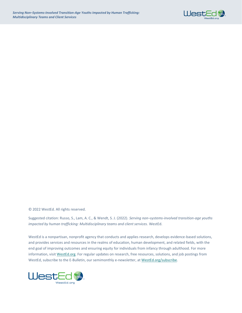

© 2022 WestEd. All rights reserved.

Suggested citation: Russo, S., Lam, A. C., & Wendt, S. J. (2022). *Serving non–systems-involved transition-age youths impacted by human trafficking: Multidisciplinary teams and client services.* WestEd.

WestEd is a nonpartisan, nonprofit agency that conducts and applies research, develops evidence-based solutions, and provides services and resources in the realms of education, human development, and related fields, with the end goal of improving outcomes and ensuring equity for individuals from infancy through adulthood. For more information, visi[t WestEd.org.](http://www.wested.org/) For regular updates on research, free resources, solutions, and job postings from WestEd, subscribe to the E-Bulletin, our semimonthly e-newsletter, at [WestEd.org/subscribe.](https://www.wested.org/subscribe/)

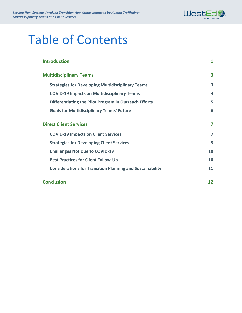

## Table of Contents

| <b>Introduction</b>                                              | 1  |
|------------------------------------------------------------------|----|
| <b>Multidisciplinary Teams</b>                                   | 3  |
| <b>Strategies for Developing Multidisciplinary Teams</b>         | 3  |
| <b>COVID-19 Impacts on Multidisciplinary Teams</b>               | 4  |
| Differentiating the Pilot Program in Outreach Efforts            | 5  |
| <b>Goals for Multidisciplinary Teams' Future</b>                 | 6  |
| <b>Direct Client Services</b>                                    | 7  |
| <b>COVID-19 Impacts on Client Services</b>                       | 7  |
| <b>Strategies for Developing Client Services</b>                 | 9  |
| <b>Challenges Not Due to COVID-19</b>                            | 10 |
| <b>Best Practices for Client Follow-Up</b>                       | 10 |
| <b>Considerations for Transition Planning and Sustainability</b> | 11 |
| <b>Conclusion</b>                                                | 12 |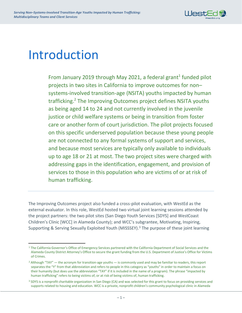

## <span id="page-3-0"></span>Introduction

From January 2019 through May 2021, a federal grant<sup>1</sup> funded pilot projects in two sites in California to improve outcomes for non– systems-involved transition-age (NSITA) youths impacted by human trafficking. 2 The Improving Outcomes project defines NSITA youths as being aged 14 to 24 and not currently involved in the juvenile justice or child welfare systems or being in transition from foster care or another form of court jurisdiction. The pilot projects focused on this specific underserved population because these young people are not connected to any formal systems of support and services, and because most services are typically only available to individuals up to age 18 or 21 at most. The two project sites were charged with addressing gaps in the identification, engagement, and provision of services to those in this population who are victims of or at risk of human trafficking.

The Improving Outcomes project also funded a cross-pilot evaluation, with WestEd as the external evaluator. In this role, WestEd hosted two virtual joint learning sessions attended by the project partners: the two pilot sites (San Diego Youth Services [SDYS] and WestCoast Children's Clinic [WCC] in Alameda County); and WCC's subgrantee, Motivating, Inspiring, Supporting & Serving Sexually Exploited Youth (MISSSEY).<sup>3</sup> The purpose of these joint learning

<sup>&</sup>lt;sup>1</sup> The California Governor's Office of Emergency Services partnered with the California Department of Social Services and the Alameda County District Attorney's Office to secure the grant funding from the U.S. Department of Justice's Office for Victims of Crimes.

<sup>&</sup>lt;sup>2</sup> Although "TAY" — the acronym for transition-age youths — is commonly used and may be familiar to readers, this report separates the "Y" from that abbreviation and refers to people in this category as "youths" in order to maintain a focus on their humanity (but does use the abbreviation "TAY" if it is included in the name of a program). The phrase "impacted by human trafficking" refers to being victims of, or at risk of being victims of, human trafficking.

<sup>&</sup>lt;sup>3</sup> SDYS is a nonprofit charitable organization in San Diego (CA) and was selected for this grant to focus on providing services and supports related to housing and education. WCC is a private, nonprofit children's community psychological clinic in Alameda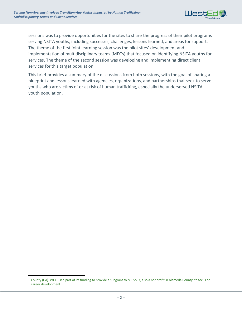

sessions was to provide opportunities for the sites to share the progress of their pilot programs serving NSITA youths, including successes, challenges, lessons learned, and areas for support. The theme of the first joint learning session was the pilot sites' development and implementation of multidisciplinary teams (MDTs) that focused on identifying NSITA youths for services. The theme of the second session was developing and implementing direct client services for this target population.

This brief provides a summary of the discussions from both sessions, with the goal of sharing a blueprint and lessons learned with agencies, organizations, and partnerships that seek to serve youths who are victims of or at risk of human trafficking, especially the underserved NSITA youth population.

County (CA). WCC used part of its funding to provide a subgrant to MISSSEY, also a nonprofit in Alameda County, to focus on career development.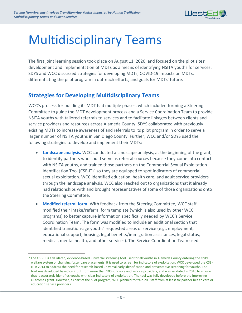

# <span id="page-5-0"></span>Multidisciplinary Teams

The first joint learning session took place on August 11, 2020, and focused on the pilot sites' development and implementation of MDTs as a means of identifying NSITA youths for services. SDYS and WCC discussed strategies for developing MDTs, COVID-19 impacts on MDTs, differentiating the pilot program in outreach efforts, and goals for MDTs' future.

## <span id="page-5-1"></span>**Strategies for Developing Multidisciplinary Teams**

WCC's process for building its MDT had multiple phases, which included forming a Steering Committee to guide the MDT development process and a Service Coordination Team to provide NSITA youths with tailored referrals to services and to facilitate linkages between clients and service providers and resources across Alameda County. SDYS collaborated with previously existing MDTs to increase awareness of and referrals to its pilot program in order to serve a larger number of NSITA youths in San Diego County. Further, WCC and/or SDYS used the following strategies to develop and implement their MDTs:

- **Landscape analysis.** WCC conducted a landscape analysis, at the beginning of the grant, to identify partners who could serve as referral sources because they come into contact with NSITA youths, and trained those partners on the Commercial Sexual Exploitation – Identification Tool (CSE-IT)<sup>4</sup> so they are equipped to spot indicators of commercial sexual exploitation. WCC identified education, health care, and adult service providers through the landscape analysis. WCC also reached out to organizations that it already had relationships with and brought representatives of some of those organizations onto the Steering Committee.
- **Modified referral form.** With feedback from the Steering Committee, WCC staff modified their intake/referral form template (which is also used by other WCC programs) to better capture information specifically needed by WCC's Service Coordination Team. The form was modified to include an additional section that identified transition-age youths' requested areas of service (e.g., employment, educational support, housing, legal benefits/immigration assistances, legal status, medical, mental health, and other services). The Service Coordination Team used

<sup>4</sup> The CSE-IT is a validated, evidence-based, universal screening tool used for all youths in Alameda County entering the child welfare system or changing foster care placements. It is used to screen for indicators of exploitation. WCC developed the CSE-IT in 2014 to address the need for research-based universal early identification and preventative screening for youths. The tool was developed based on input from more than 100 survivors and service providers, and was validated in 2016 to ensure that it accurately identifies youths with clear indicators of exploitation. The tool was fully developed before the Improving Outcomes grant. However, as part of the pilot program, WCC planned to train 200 staff from at least six partner health care or education service providers.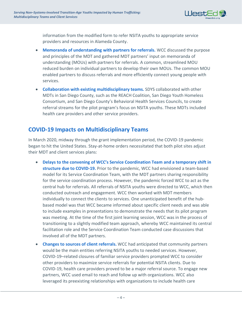

information from the modified form to refer NSITA youths to appropriate service providers and resources in Alameda County.

- **Memoranda of understanding with partners for referrals.** WCC discussed the purpose and principles of the MDT and gathered MDT partners' input on memoranda of understanding (MOUs) with partners for referrals. A common, streamlined MOU reduced burden on individual partners to develop their own MOUs. The common MOU enabled partners to discuss referrals and more efficiently connect young people with services.
- **Collaboration with existing multidisciplinary teams.** SDYS collaborated with other MDTs in San Diego County, such as the REACH Coalition, San Diego Youth Homeless Consortium, and San Diego County's Behavioral Health Services Councils, to create referral streams for the pilot program's focus on NSITA youths. These MDTs included health care providers and other service providers.

### <span id="page-6-0"></span>**COVID-19 Impacts on Multidisciplinary Teams**

In March 2020, midway through the grant implementation period, the COVID-19 pandemic began to hit the United States. Stay-at-home orders necessitated that both pilot sites adjust their MDT and client services plans:

- **Delays to the convening of WCC's Service Coordination Team and a temporary shift in structure due to COVID-19.** Prior to the pandemic, WCC had envisioned a team-based model for its Service Coordination Team, with the MDT partners sharing responsibility for the service coordination process. However, the pandemic forced WCC to act as the central hub for referrals. All referrals of NSITA youths were directed to WCC, which then conducted outreach and engagement. WCC then worked with MDT members individually to connect the clients to services. One unanticipated benefit of the hubbased model was that WCC became informed about specific client needs and was able to include examples in presentations to demonstrate the needs that its pilot program was meeting. At the time of the first joint learning session, WCC was in the process of transitioning to a slightly modified team approach, whereby WCC maintained its central facilitation role and the Service Coordination Team conducted case discussions that involved all of the MDT partners.
- **Changes to sources of client referrals.** WCC had anticipated that community partners would be the main entities referring NSITA youths to needed services. However, COVID-19–related closures of familiar service providers prompted WCC to consider other providers to maximize service referrals for potential NSITA clients. Due to COVID-19, health care providers proved to be a major referral source. To engage new partners, WCC used email to reach and follow up with organizations. WCC also leveraged its preexisting relationships with organizations to include health care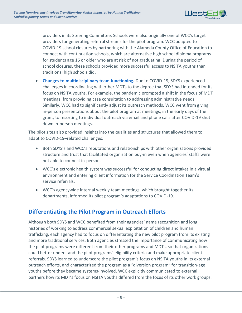

providers in its Steering Committee. Schools were also originally one of WCC's target providers for generating referral streams for the pilot program. WCC adapted to COVID-19 school closures by partnering with the Alameda County Office of Education to connect with continuation schools, which are alternative high school diploma programs for students age 16 or older who are at risk of not graduating. During the period of school closures, these schools provided more successful access to NSITA youths than traditional high schools did.

• **Changes to multidisciplinary team functioning.** Due to COVID-19, SDYS experienced challenges in coordinating with other MDTs to the degree that SDYS had intended for its focus on NSITA youths. For example, the pandemic prompted a shift in the focus of MDT meetings, from providing case consultation to addressing administrative needs. Similarly, WCC had to significantly adjust its outreach methods. WCC went from giving in-person presentations about the pilot program at meetings, in the early days of the grant, to resorting to individual outreach via email and phone calls after COVID-19 shut down in-person meetings.

The pilot sites also provided insights into the qualities and structures that allowed them to adapt to COVID-19–related challenges:

- Both SDYS's and WCC's reputations and relationships with other organizations provided structure and trust that facilitated organization buy-in even when agencies' staffs were not able to connect in-person.
- WCC's electronic health system was successful for conducting direct intakes in a virtual environment and entering client information for the Service Coordination Team's service referrals.
- WCC's agencywide internal weekly team meetings, which brought together its departments, informed its pilot program's adaptations to COVID-19.

### <span id="page-7-0"></span>**Differentiating the Pilot Program in Outreach Efforts**

Although both SDYS and WCC benefited from their agencies' name recognition and long histories of working to address commercial sexual exploitation of children and human trafficking, each agency had to focus on differentiating the new pilot program from its existing and more traditional services. Both agencies stressed the importance of communicating how the pilot programs were different from their other programs and MDTs, so that organizations could better understand the pilot programs' eligibility criteria and make appropriate client referrals. SDYS learned to underscore the pilot program's focus on NSITA youths in its external outreach efforts, and characterized the program as a "diversion program" for transition-age youths before they became systems-involved. WCC explicitly communicated to external partners how its MDT's focus on NSITA youths differed from the focus of its other work groups.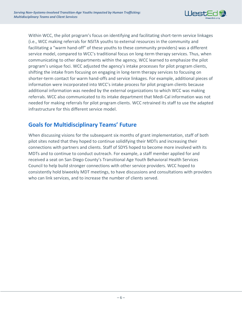

Within WCC, the pilot program's focus on identifying and facilitating short-term service linkages (i.e., WCC making referrals for NSITA youths to external resources in the community and facilitating a "warm hand-off" of these youths to these community providers) was a different service model, compared to WCC's traditional focus on long-term therapy services. Thus, when communicating to other departments within the agency, WCC learned to emphasize the pilot program's unique foci. WCC adjusted the agency's intake processes for pilot program clients, shifting the intake from focusing on engaging in long-term therapy services to focusing on shorter-term contact for warm hand-offs and service linkages. For example, additional pieces of information were incorporated into WCC's intake process for pilot program clients because additional information was needed by the external organizations to which WCC was making referrals. WCC also communicated to its intake department that Medi-Cal information was not needed for making referrals for pilot program clients. WCC retrained its staff to use the adapted infrastructure for this different service model.

## <span id="page-8-0"></span>**Goals for Multidisciplinary Teams' Future**

When discussing visions for the subsequent six months of grant implementation, staff of both pilot sites noted that they hoped to continue solidifying their MDTs and increasing their connections with partners and clients. Staff of SDYS hoped to become more involved with its MDTs and to continue to conduct outreach. For example, a staff member applied for and received a seat on San Diego County's Transitional Age Youth Behavioral Health Services Council to help build stronger connections with other service providers. WCC hoped to consistently hold biweekly MDT meetings, to have discussions and consultations with providers who can link services, and to increase the number of clients served.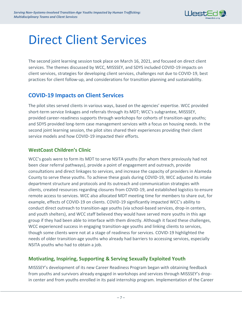

## <span id="page-9-0"></span>Direct Client Services

The second joint learning session took place on March 16, 2021, and focused on direct client services. The themes discussed by WCC, MISSSEY, and SDYS included COVID-19 impacts on client services, strategies for developing client services, challenges not due to COVID-19, best practices for client follow-up, and considerations for transition planning and sustainability.

## <span id="page-9-1"></span>**COVID-19 Impacts on Client Services**

The pilot sites served clients in various ways, based on the agencies' expertise. WCC provided short-term service linkages and referrals through its MDT; WCC's subgrantee, MISSSEY, provided career-readiness supports through workshops for cohorts of transition-age youths; and SDYS provided long-term case management services with a focus on housing needs. In the second joint learning session, the pilot sites shared their experiences providing their client service models and how COVID-19 impacted their efforts.

#### **WestCoast Children's Clinic**

WCC's goals were to form its MDT to serve NSITA youths (for whom there previously had not been clear referral pathways), provide a point of engagement and outreach, provide consultations and direct linkages to services, and increase the capacity of providers in Alameda County to serve these youths. To achieve these goals during COVID-19, WCC adjusted its intake department structure and protocols and its outreach and communication strategies with clients, created resources regarding closures from COVID-19, and established logistics to ensure remote access to services. WCC also allocated MDT meeting time for members to share out, for example, effects of COVID-19 on clients. COVID-19 significantly impacted WCC's ability to conduct direct outreach to transition-age youths (via school-based services, drop-in centers, and youth shelters), and WCC staff believed they would have served more youths in this age group if they had been able to interface with them directly. Although it faced these challenges, WCC experienced success in engaging transition-age youths and linking clients to services, though some clients were not at a stage of readiness for services. COVID-19 highlighted the needs of older transition-age youths who already had barriers to accessing services, especially NSITA youths who had to obtain a job.

#### **Motivating, Inspiring, Supporting & Serving Sexually Exploited Youth**

MISSSEY's development of its new Career Readiness Program began with obtaining feedback from youths and survivors already engaged in workshops and services through MISSSEY's dropin center and from youths enrolled in its paid internship program. Implementation of the Career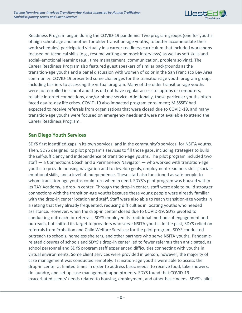

Readiness Program began during the COVID-19 pandemic. Two program groups (one for youths of high school age and another for older transition-age youths, to better accommodate their work schedules) participated virtually in a career readiness curriculum that included workshops focused on technical skills (e.g., resume writing and mock interviews) as well as soft skills and social–emotional learning (e.g., time management, communication, problem solving). The Career Readiness Program also featured guest speakers of similar backgrounds as the transition-age youths and a panel discussion with women of color in the San Francisco Bay Area community. COVID-19 presented some challenges for the transition-age youth program group, including barriers to accessing the virtual program. Many of the older transition-age youths were not enrolled in school and thus did not have regular access to laptops or computers, reliable internet connections, and/or phone service. Additionally, these particular youths often faced day-to-day life crises. COVID-19 also impacted program enrollment; MISSSEY had expected to receive referrals from organizations that were closed due to COVID-19, and many transition-age youths were focused on emergency needs and were not available to attend the Career Readiness Program.

#### **San Diego Youth Services**

SDYS first identified gaps in its own services, and in the community's services, for NSITA youths. Then, SDYS designed its pilot program's services to fill those gaps, including strategies to build the self-sufficiency and independence of transition-age youths. The pilot program included two staff — a Connections Coach and a Permanency Navigator — who worked with transition-age youths to provide housing navigation and to develop goals, employment readiness skills, social– emotional skills, and a level of independence. These staff also functioned as safe people to whom transition-age youths could turn when in need. SDYS's pilot program was housed within its TAY Academy, a drop-in center. Through the drop-in center, staff were able to build stronger connections with the transition-age youths because these young people were already familiar with the drop-in center location and staff. Staff were also able to reach transition-age youths in a setting that they already frequented, reducing difficulties in locating youths who needed assistance. However, when the drop-in center closed due to COVID-19, SDYS pivoted to conducting outreach for referrals. SDYS employed its traditional methods of engagement and outreach, but shifted its target to providers who serve NSITA youths. In the past, SDYS relied on referrals from Probation and Child Welfare Services; for the pilot program, SDYS conducted outreach to schools, homeless shelters, and other partners who serve NSITA youths. Pandemicrelated closures of schools and SDYS's drop-in center led to fewer referrals than anticipated, as school personnel and SDYS program staff experienced difficulties connecting with youths in virtual environments. Some client services were provided in person; however, the majority of case management was conducted remotely. Transition-age youths were able to access the drop-in center at limited times in order to address basic needs: to receive food, take showers, do laundry, and set up case management appointments. SDYS found that COVID-19 exacerbated clients' needs related to housing, employment, and other basic needs. SDYS's pilot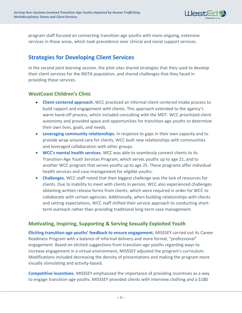

program staff focused on connecting transition-age youths with more ongoing, extensive services in those areas, which took precedence over clinical and social support services.

## <span id="page-11-0"></span>**Strategies for Developing Client Services**

In the second joint learning session, the pilot sites shared strategies that they used to develop their client services for the NSITA population, and shared challenges that they faced in providing those services.

#### **WestCoast Children's Clinic**

- **Client-centered approach.** WCC practiced an informal client-centered intake process to build rapport and engagement with clients. This approach extended to the agency's warm hand-off process, which included consulting with the MDT. WCC prioritized client autonomy and provided space and opportunities for transition-age youths to determine their own lives, goals, and needs.
- **Leveraging community relationships.** In response to gaps in their own capacity and to provide wrap-around care for clients, WCC built new relationships with communities and leveraged collaboration with other groups.
- **WCC's mental health services.** WCC was able to seamlessly connect clients to its Transition-Age Youth Services Program, which serves youths up to age 21, and to another WCC program that serves youths up to age 25. These programs offer individual health services and case management for eligible youths.
- **Challenges.** WCC staff noted that their biggest challenge was the lack of resources for clients. Due to inability to meet with clients in person, WCC also experienced challenges obtaining written release forms from clients, which were required in order for WCC to collaborate with certain agencies. Additionally, when building relationships with clients and setting expectations, WCC staff shifted their service approach to conducting shortterm outreach rather than providing traditional long-term case management.

#### **Motivating, Inspiring, Supporting & Serving Sexually Exploited Youth**

**Eliciting transition-age youths' feedback to ensure engagement.** MISSSEY carried out its Career Readiness Program with a balance of informal delivery and more formal, "professional" engagement. Based on elicited suggestions from transition-age youths regarding ways to increase engagement in a virtual environment, MISSSEY adjusted the program's curriculum. Modifications included decreasing the density of presentations and making the program more visually stimulating and activity-based.

**Competitive incentives.** MISSSEY emphasized the importance of providing incentives as a way to engage transition-age youths. MISSSEY provided clients with interview clothing and a \$180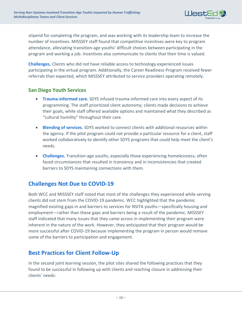

stipend for completing the program, and was working with its leadership team to increase the number of incentives. MISSSEY staff found that competitive incentives were key to program attendance, alleviating transition-age youths' difficult choices between participating in the program and working a job. Incentives also communicate to clients that their time is valued.

**Challenges.** Clients who did not have reliable access to technology experienced issues participating in the virtual program. Additionally, the Career Readiness Program received fewer referrals than expected, which MISSSEY attributed to service providers operating remotely.

#### **San Diego Youth Services**

- **Trauma-informed care.** SDYS infused trauma-informed care into every aspect of its programming. The staff prioritized client autonomy; clients made decisions to achieve their goals, while staff offered available options and maintained what they described as "cultural humility" throughout their care.
- **Blending of services.** SDYS worked to connect clients with additional resources within the agency. If the pilot program could not provide a particular resource for a client, staff worked collaboratively to identify other SDYS programs that could help meet the client's needs.
- **Challenges.** Transition-age youths, especially those experiencing homelessness, often faced circumstances that resulted in transiency and in inconsistencies that created barriers to SDYS maintaining connections with them.

## <span id="page-12-0"></span>**Challenges Not Due to COVID-19**

Both WCC and MISSSEY staff noted that most of the challenges they experienced while serving clients did not stem from the COVID-19 pandemic. WCC highlighted that the pandemic magnified existing gaps in and barriers to services for NSITA youths—specifically housing and employment—rather than these gaps and barriers being a result of the pandemic. MISSSEY staff indicated that many issues that they came across in implementing their program were inherent in the nature of the work. However, they anticipated that their program would be more successful after COVID-19 because implementing the program in person would remove some of the barriers to participation and engagement.

## <span id="page-12-1"></span>**Best Practices for Client Follow-Up**

In the second joint learning session, the pilot sites shared the following practices that they found to be successful in following up with clients and reaching closure in addressing their clients' needs: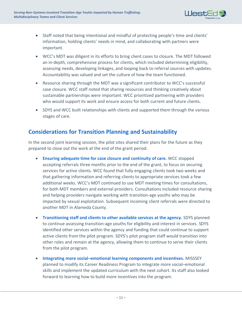

- Staff noted that being intentional and mindful of protecting people's time and clients' information, holding clients' needs in mind, and collaborating with partners were important.
- WCC's MDT was diligent in its efforts to bring client cases to closure. The MDT followed an in-depth, comprehensive process for clients, which included determining eligibility, assessing needs, developing linkages, and looping back to referral sources with updates. Accountability was valued and set the culture of how the team functioned.
- Resource sharing through the MDT was a significant contributor to WCC's successful case closure. WCC staff noted that sharing resources and thinking creatively about sustainable partnerships were important. WCC prioritized partnering with providers who would support its work and ensure access for both current and future clients.
- SDYS and WCC built relationships with clients and supported them through the various stages of care.

### <span id="page-13-0"></span>**Considerations for Transition Planning and Sustainability**

In the second joint learning session, the pilot sites shared their plans for the future as they prepared to close out the work at the end of the grant period.

- **Ensuring adequate time for case closure and continuity of care.** WCC stopped accepting referrals three months prior to the end of the grant, to focus on securing services for active clients. WCC found that fully engaging clients took two weeks and that gathering information and referring clients to appropriate services took a few additional weeks. WCC's MDT continued to use MDT meeting times for consultations, for both MDT members and external providers. Consultations included resource sharing and helping providers navigate working with transition-age youths who may be impacted by sexual exploitation. Subsequent incoming client referrals were directed to another MDT in Alameda County.
- **Transitioning staff and clients to other available services at the agency.** SDYS planned to continue assessing transition-age youths for eligibility and interest in services. SDYS identified other services within the agency and funding that could continue to support active clients from the pilot program. SDYS's pilot program staff would transition into other roles and remain at the agency, allowing them to continue to serve their clients from the pilot program.
- **Integrating more social–emotional learning components and incentives.** MISSSEY planned to modify its Career Readiness Program to integrate more social–emotional skills and implement the updated curriculum with the next cohort. Its staff also looked forward to learning how to build more incentives into the program.